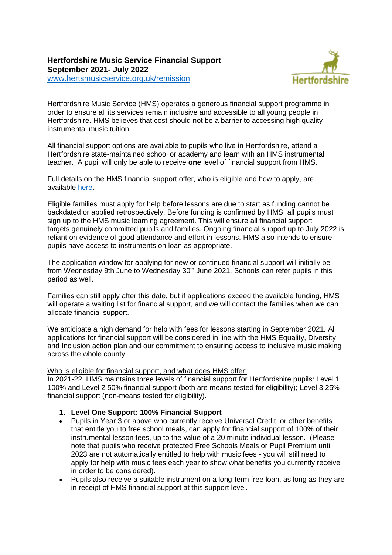# **Hertfordshire Music Service Financial Support September 2021- July 2022**



[www.hertsmusicservice.org.uk/remission](http://www.hertsmusicservice.org.uk/remission)

Hertfordshire Music Service (HMS) operates a generous financial support programme in order to ensure all its services remain inclusive and accessible to all young people in Hertfordshire. HMS believes that cost should not be a barrier to accessing high quality instrumental music tuition.

All financial support options are available to pupils who live in Hertfordshire, attend a Hertfordshire state-maintained school or academy and learn with an HMS instrumental teacher. A pupil will only be able to receive **one** level of financial support from HMS.

Full details on the HMS financial support offer, who is eligible and how to apply, are available [here.](http://www.hertsmusicservice.org.uk/remission)

Eligible families must apply for help before lessons are due to start as funding cannot be backdated or applied retrospectively. Before funding is confirmed by HMS, all pupils must sign up to the HMS music learning agreement. This will ensure all financial support targets genuinely committed pupils and families. Ongoing financial support up to July 2022 is reliant on evidence of good attendance and effort in lessons. HMS also intends to ensure pupils have access to instruments on loan as appropriate.

The application window for applying for new or continued financial support will initially be from Wednesday 9th June to Wednesday 30<sup>th</sup> June 2021. Schools can refer pupils in this period as well.

Families can still apply after this date, but if applications exceed the available funding, HMS will operate a waiting list for financial support, and we will contact the families when we can allocate financial support.

We anticipate a high demand for help with fees for lessons starting in September 2021. All applications for financial support will be considered in line with the HMS Equality, Diversity and Inclusion action plan and our commitment to ensuring access to inclusive music making across the whole county.

#### Who is eligible for financial support, and what does HMS offer:

In 2021-22, HMS maintains three levels of financial support for Hertfordshire pupils: Level 1 100% and Level 2 50% financial support (both are means-tested for eligibility); Level 3 25% financial support (non-means tested for eligibility).

#### **1. Level One Support: 100% Financial Support**

- Pupils in Year 3 or above who currently receive Universal Credit, or other benefits that entitle you to free school meals, can apply for financial support of 100% of their instrumental lesson fees, up to the value of a 20 minute individual lesson. (Please note that pupils who receive protected Free Schools Meals or Pupil Premium until 2023 are not automatically entitled to help with music fees - you will still need to apply for help with music fees each year to show what benefits you currently receive in order to be considered).
- Pupils also receive a suitable instrument on a long-term free loan, as long as they are in receipt of HMS financial support at this support level.